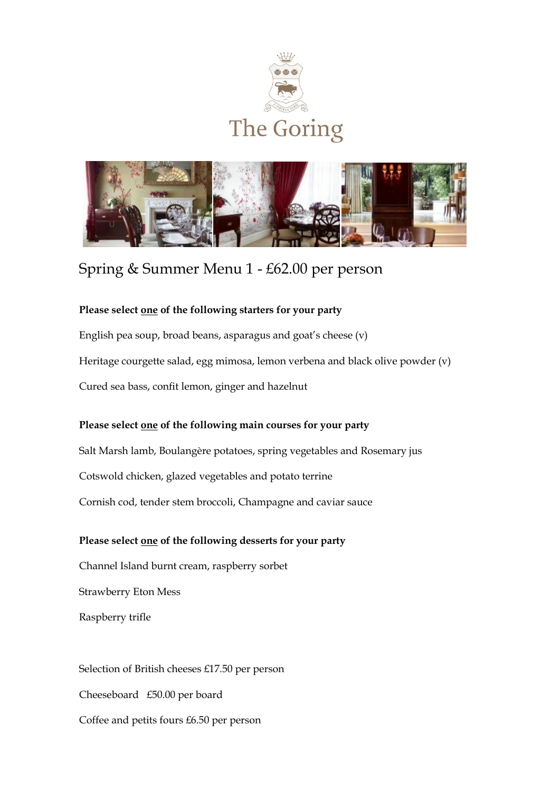



# Spring & Summer Menu 1 - £62.00 per person

#### **Please select one of the following starters for your party**

English pea soup, broad beans, asparagus and goat's cheese (v) Heritage courgette salad, egg mimosa, lemon verbena and black olive powder (v) Cured sea bass, confit lemon, ginger and hazelnut

#### **Please select one of the following main courses for your party**

Salt Marsh lamb, Boulangère potatoes, spring vegetables and Rosemary jus Cotswold chicken, glazed vegetables and potato terrine Cornish cod, tender stem broccoli, Champagne and caviar sauce

#### **Please select one of the following desserts for your party**

Channel Island burnt cream, raspberry sorbet

Strawberry Eton Mess

Raspberry trifle

Selection of British cheeses £17.50 per person Cheeseboard £50.00 per board Coffee and petits fours £6.50 per person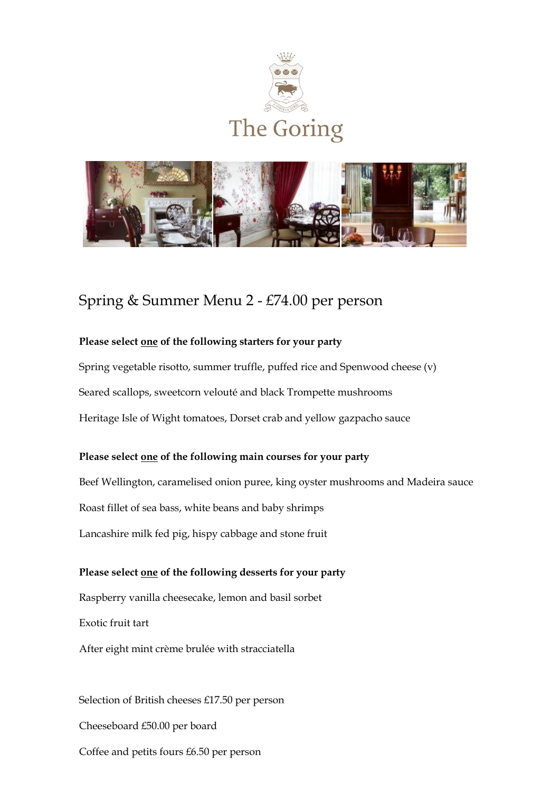



# Spring & Summer Menu 2 - £74.00 per person

## **Please select one of the following starters for your party**

Spring vegetable risotto, summer truffle, puffed rice and Spenwood cheese (v) Seared scallops, sweetcorn velouté and black Trompette mushrooms Heritage Isle of Wight tomatoes, Dorset crab and yellow gazpacho sauce

### **Please select one of the following main courses for your party**

Beef Wellington, caramelised onion puree, king oyster mushrooms and Madeira sauce Roast fillet of sea bass, white beans and baby shrimps Lancashire milk fed pig, hispy cabbage and stone fruit

# **Please select one of the following desserts for your party**

Raspberry vanilla cheesecake, lemon and basil sorbet Exotic fruit tart

After eight mint crème brulée with stracciatella

Selection of British cheeses £17.50 per person Cheeseboard £50.00 per board Coffee and petits fours £6.50 per person